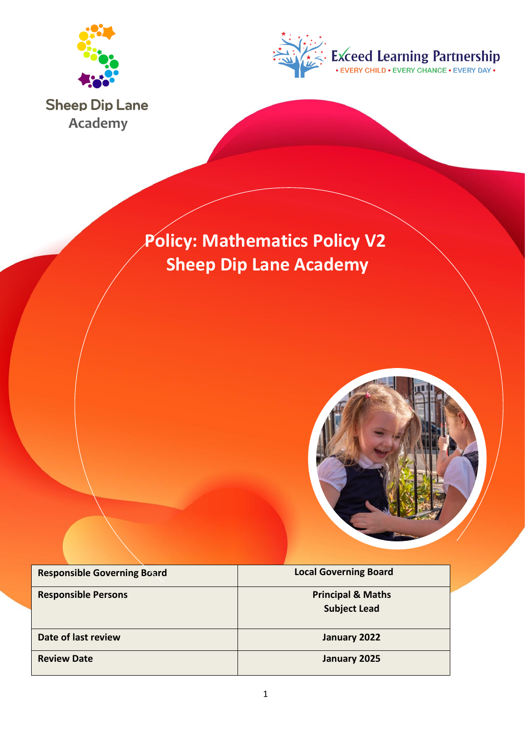



**Sheep Dip Lane Academy**

# **Policy: Mathematics Policy V2 Sheep Dip Lane Academy**



| <b>Responsible Governing Board</b> | <b>Local Governing Board</b>                        |
|------------------------------------|-----------------------------------------------------|
| <b>Responsible Persons</b>         | <b>Principal &amp; Maths</b><br><b>Subject Lead</b> |
| Date of last review                | January 2022                                        |
| <b>Review Date</b>                 | January 2025                                        |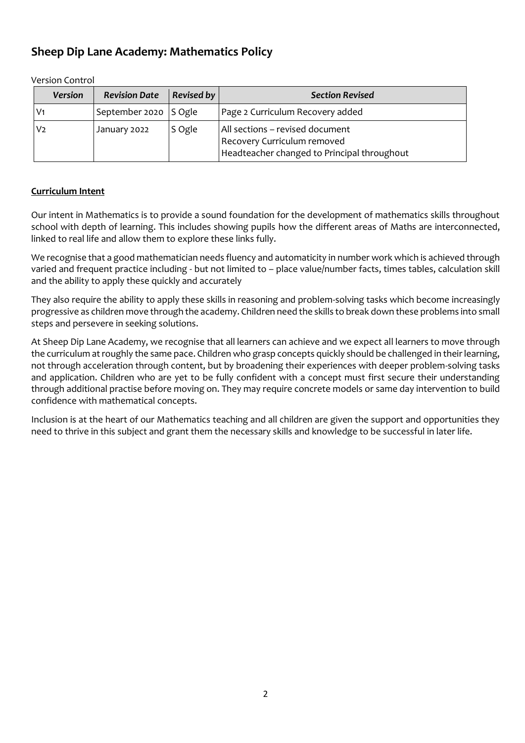## **Sheep Dip Lane Academy: Mathematics Policy**

| <b>Version</b> | <b>Revision Date</b>  | Revised by | <b>Section Revised</b>                                                                                        |
|----------------|-----------------------|------------|---------------------------------------------------------------------------------------------------------------|
| V <sub>1</sub> | September 2020 S Ogle |            | Page 2 Curriculum Recovery added                                                                              |
| V <sub>2</sub> | January 2022          | S Ogle     | All sections – revised document<br>Recovery Curriculum removed<br>Headteacher changed to Principal throughout |

Version Control

## **Curriculum Intent**

Our intent in Mathematics is to provide a sound foundation for the development of mathematics skills throughout school with depth of learning. This includes showing pupils how the different areas of Maths are interconnected, linked to real life and allow them to explore these links fully.

We recognise that a good mathematician needs fluency and automaticity in number work which is achieved through varied and frequent practice including - but not limited to – place value/number facts, times tables, calculation skill and the ability to apply these quickly and accurately

They also require the ability to apply these skills in reasoning and problem-solving tasks which become increasingly progressive as children move through the academy. Children need the skills to break down these problems into small steps and persevere in seeking solutions.

At Sheep Dip Lane Academy, we recognise that all learners can achieve and we expect all learners to move through the curriculum at roughly the same pace. Children who grasp concepts quickly should be challenged in their learning, not through acceleration through content, but by broadening their experiences with deeper problem-solving tasks and application. Children who are yet to be fully confident with a concept must first secure their understanding through additional practise before moving on. They may require concrete models or same day intervention to build confidence with mathematical concepts.

Inclusion is at the heart of our Mathematics teaching and all children are given the support and opportunities they need to thrive in this subject and grant them the necessary skills and knowledge to be successful in later life.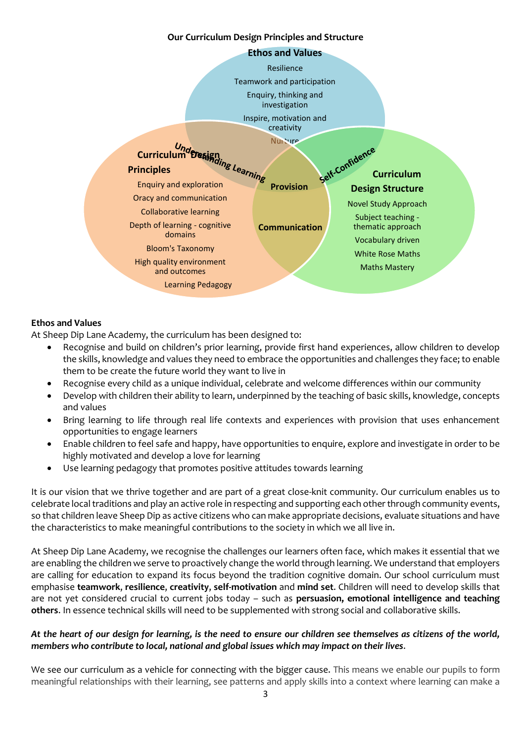#### **Our Curriculum Design Principles and Structure**



### **Ethos and Values**

At Sheep Dip Lane Academy, the curriculum has been designed to:

- Recognise and build on children's prior learning, provide first hand experiences, allow children to develop the skills, knowledge and values they need to embrace the opportunities and challenges they face; to enable them to be create the future world they want to live in
- Recognise every child as a unique individual, celebrate and welcome differences within our community
- Develop with children their ability to learn, underpinned by the teaching of basic skills, knowledge, concepts and values
- Bring learning to life through real life contexts and experiences with provision that uses enhancement opportunities to engage learners
- Enable children to feel safe and happy, have opportunities to enquire, explore and investigate in order to be highly motivated and develop a love for learning
- Use learning pedagogy that promotes positive attitudes towards learning

It is our vision that we thrive together and are part of a great close-knit community. Our curriculum enables us to celebrate local traditions and play an active role in respecting and supporting each other through community events, so that children leave Sheep Dip as active citizens who can make appropriate decisions, evaluate situations and have the characteristics to make meaningful contributions to the society in which we all live in.

At Sheep Dip Lane Academy, we recognise the challenges our learners often face, which makes it essential that we are enabling the children we serve to proactively change the world through learning. We understand that employers are calling for education to expand its focus beyond the tradition cognitive domain. Our school curriculum must emphasise **teamwork**, **resilience**, **creativity**, **self-motivation** and **mind set**. Children will need to develop skills that are not yet considered crucial to current jobs today – such as **persuasion, emotional intelligence and teaching others**. In essence technical skills will need to be supplemented with strong social and collaborative skills.

## *At the heart of our design for learning, is the need to ensure our children see themselves as citizens of the world, members who contribute to local, national and global issues which may impact on their lives*.

We see our curriculum as a vehicle for connecting with the bigger cause. This means we enable our pupils to form meaningful relationships with their learning, see patterns and apply skills into a context where learning can make a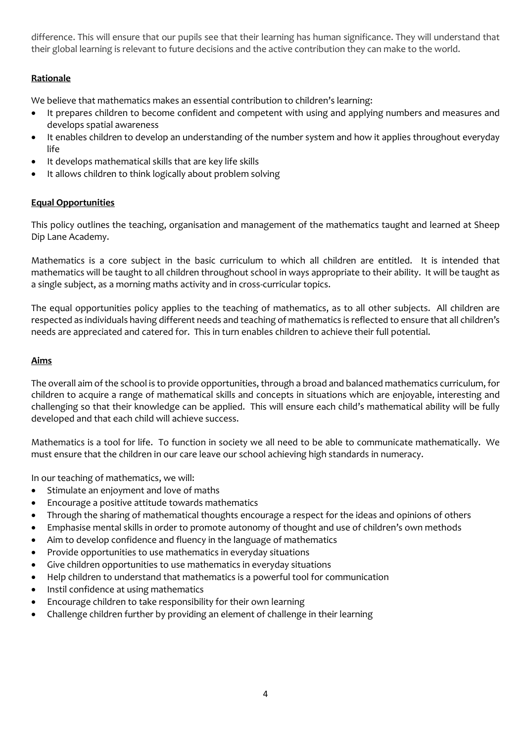difference. This will ensure that our pupils see that their learning has human significance. They will understand that their global learning is relevant to future decisions and the active contribution they can make to the world.

## **Rationale**

We believe that mathematics makes an essential contribution to children's learning:

- It prepares children to become confident and competent with using and applying numbers and measures and develops spatial awareness
- It enables children to develop an understanding of the number system and how it applies throughout everyday life
- It develops mathematical skills that are key life skills
- It allows children to think logically about problem solving

### **Equal Opportunities**

This policy outlines the teaching, organisation and management of the mathematics taught and learned at Sheep Dip Lane Academy.

Mathematics is a core subject in the basic curriculum to which all children are entitled. It is intended that mathematics will be taught to all children throughout school in ways appropriate to their ability. It will be taught as a single subject, as a morning maths activity and in cross-curricular topics.

The equal opportunities policy applies to the teaching of mathematics, as to all other subjects. All children are respected as individuals having different needs and teaching of mathematics is reflected to ensure that all children's needs are appreciated and catered for. This in turn enables children to achieve their full potential.

### **Aims**

The overall aim of the school is to provide opportunities, through a broad and balanced mathematics curriculum, for children to acquire a range of mathematical skills and concepts in situations which are enjoyable, interesting and challenging so that their knowledge can be applied. This will ensure each child's mathematical ability will be fully developed and that each child will achieve success.

Mathematics is a tool for life. To function in society we all need to be able to communicate mathematically. We must ensure that the children in our care leave our school achieving high standards in numeracy.

In our teaching of mathematics, we will:

- Stimulate an enjoyment and love of maths
- Encourage a positive attitude towards mathematics
- Through the sharing of mathematical thoughts encourage a respect for the ideas and opinions of others
- Emphasise mental skills in order to promote autonomy of thought and use of children's own methods
- Aim to develop confidence and fluency in the language of mathematics
- Provide opportunities to use mathematics in everyday situations
- Give children opportunities to use mathematics in everyday situations
- Help children to understand that mathematics is a powerful tool for communication
- Instil confidence at using mathematics
- Encourage children to take responsibility for their own learning
- Challenge children further by providing an element of challenge in their learning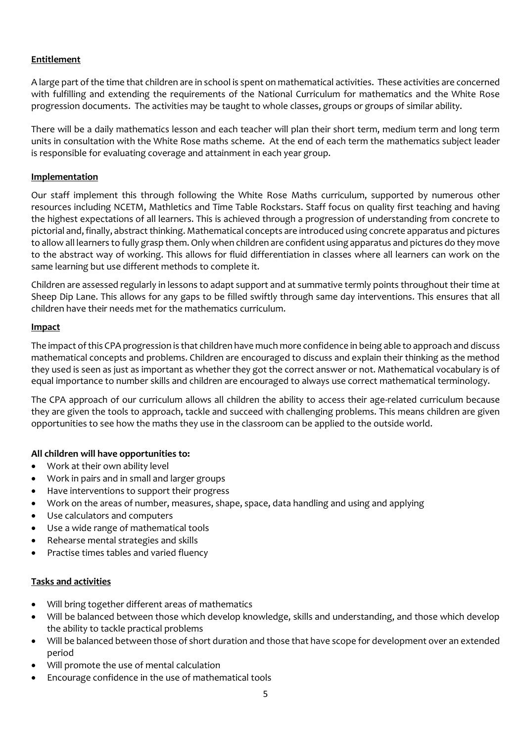## **Entitlement**

A large part of the time that children are in school is spent on mathematical activities. These activities are concerned with fulfilling and extending the requirements of the National Curriculum for mathematics and the White Rose progression documents. The activities may be taught to whole classes, groups or groups of similar ability.

There will be a daily mathematics lesson and each teacher will plan their short term, medium term and long term units in consultation with the White Rose maths scheme. At the end of each term the mathematics subject leader is responsible for evaluating coverage and attainment in each year group.

## **Implementation**

Our staff implement this through following the White Rose Maths curriculum, supported by numerous other resources including NCETM, Mathletics and Time Table Rockstars. Staff focus on quality first teaching and having the highest expectations of all learners. This is achieved through a progression of understanding from concrete to pictorial and, finally, abstract thinking. Mathematical concepts are introduced using concrete apparatus and pictures to allow all learners to fully grasp them. Only when children are confident using apparatus and pictures do they move to the abstract way of working. This allows for fluid differentiation in classes where all learners can work on the same learning but use different methods to complete it.

Children are assessed regularly in lessons to adapt support and at summative termly points throughout their time at Sheep Dip Lane. This allows for any gaps to be filled swiftly through same day interventions. This ensures that all children have their needs met for the mathematics curriculum.

### **Impact**

The impact of this CPA progression is that children have much more confidence in being able to approach and discuss mathematical concepts and problems. Children are encouraged to discuss and explain their thinking as the method they used is seen as just as important as whether they got the correct answer or not. Mathematical vocabulary is of equal importance to number skills and children are encouraged to always use correct mathematical terminology.

The CPA approach of our curriculum allows all children the ability to access their age-related curriculum because they are given the tools to approach, tackle and succeed with challenging problems. This means children are given opportunities to see how the maths they use in the classroom can be applied to the outside world.

## **All children will have opportunities to:**

- Work at their own ability level
- Work in pairs and in small and larger groups
- Have interventions to support their progress
- Work on the areas of number, measures, shape, space, data handling and using and applying
- Use calculators and computers
- Use a wide range of mathematical tools
- Rehearse mental strategies and skills
- Practise times tables and varied fluency

#### **Tasks and activities**

- Will bring together different areas of mathematics
- Will be balanced between those which develop knowledge, skills and understanding, and those which develop the ability to tackle practical problems
- Will be balanced between those of short duration and those that have scope for development over an extended period
- Will promote the use of mental calculation
- Encourage confidence in the use of mathematical tools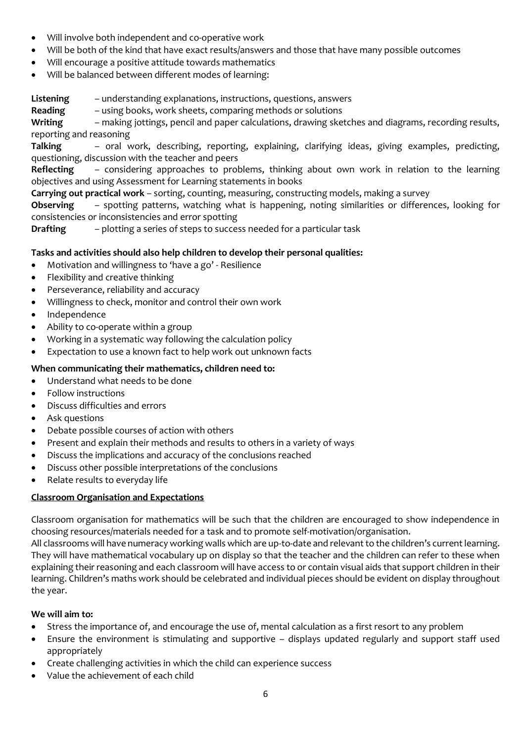- Will involve both independent and co-operative work
- Will be both of the kind that have exact results/answers and those that have many possible outcomes
- Will encourage a positive attitude towards mathematics
- Will be balanced between different modes of learning:

**Listening** – understanding explanations, instructions, questions, answers

**Reading** – using books, work sheets, comparing methods or solutions

**Writing** – making jottings, pencil and paper calculations, drawing sketches and diagrams, recording results, reporting and reasoning

**Talking** – oral work, describing, reporting, explaining, clarifying ideas, giving examples, predicting, questioning, discussion with the teacher and peers

**Reflecting** – considering approaches to problems, thinking about own work in relation to the learning objectives and using Assessment for Learning statements in books

**Carrying out practical work** – sorting, counting, measuring, constructing models, making a survey

**Observing** – spotting patterns, watching what is happening, noting similarities or differences, looking for consistencies or inconsistencies and error spotting

**Drafting** – plotting a series of steps to success needed for a particular task

## **Tasks and activities should also help children to develop their personal qualities:**

- Motivation and willingness to 'have a go' Resilience
- Flexibility and creative thinking
- Perseverance, reliability and accuracy
- Willingness to check, monitor and control their own work
- Independence
- Ability to co-operate within a group
- Working in a systematic way following the calculation policy
- Expectation to use a known fact to help work out unknown facts

## **When communicating their mathematics, children need to:**

- Understand what needs to be done
- Follow instructions
- Discuss difficulties and errors
- Ask questions
- Debate possible courses of action with others
- Present and explain their methods and results to others in a variety of ways
- Discuss the implications and accuracy of the conclusions reached
- Discuss other possible interpretations of the conclusions
- Relate results to everyday life

## **Classroom Organisation and Expectations**

Classroom organisation for mathematics will be such that the children are encouraged to show independence in choosing resources/materials needed for a task and to promote self-motivation/organisation.

All classrooms will have numeracy working walls which are up-to-date and relevant to the children's current learning. They will have mathematical vocabulary up on display so that the teacher and the children can refer to these when explaining their reasoning and each classroom will have access to or contain visual aids that support children in their learning. Children's maths work should be celebrated and individual pieces should be evident on display throughout the year.

## **We will aim to:**

- Stress the importance of, and encourage the use of, mental calculation as a first resort to any problem
- Ensure the environment is stimulating and supportive displays updated regularly and support staff used appropriately
- Create challenging activities in which the child can experience success
- Value the achievement of each child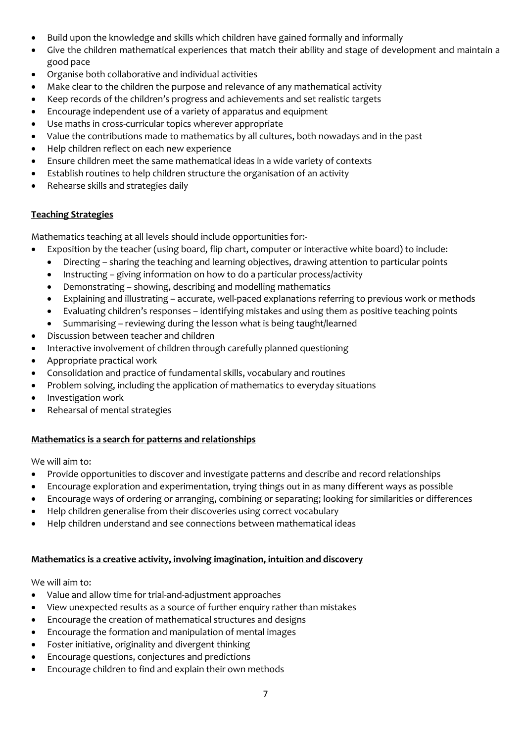- Build upon the knowledge and skills which children have gained formally and informally
- Give the children mathematical experiences that match their ability and stage of development and maintain a good pace
- Organise both collaborative and individual activities
- Make clear to the children the purpose and relevance of any mathematical activity
- Keep records of the children's progress and achievements and set realistic targets
- Encourage independent use of a variety of apparatus and equipment
- Use maths in cross-curricular topics wherever appropriate
- Value the contributions made to mathematics by all cultures, both nowadays and in the past
- Help children reflect on each new experience
- Ensure children meet the same mathematical ideas in a wide variety of contexts
- Establish routines to help children structure the organisation of an activity
- Rehearse skills and strategies daily

## **Teaching Strategies**

Mathematics teaching at all levels should include opportunities for:-

- Exposition by the teacher (using board, flip chart, computer or interactive white board) to include:
	- Directing sharing the teaching and learning objectives, drawing attention to particular points
	- Instructing giving information on how to do a particular process/activity
	- Demonstrating showing, describing and modelling mathematics
	- Explaining and illustrating accurate, well-paced explanations referring to previous work or methods
	- Evaluating children's responses identifying mistakes and using them as positive teaching points
	- Summarising reviewing during the lesson what is being taught/learned
- Discussion between teacher and children
- Interactive involvement of children through carefully planned questioning
- Appropriate practical work
- Consolidation and practice of fundamental skills, vocabulary and routines
- Problem solving, including the application of mathematics to everyday situations
- Investigation work
- Rehearsal of mental strategies

## **Mathematics is a search for patterns and relationships**

We will aim to:

- Provide opportunities to discover and investigate patterns and describe and record relationships
- Encourage exploration and experimentation, trying things out in as many different ways as possible
- Encourage ways of ordering or arranging, combining or separating; looking for similarities or differences
- Help children generalise from their discoveries using correct vocabulary
- Help children understand and see connections between mathematical ideas

## **Mathematics is a creative activity, involving imagination, intuition and discovery**

We will aim to:

- Value and allow time for trial-and-adjustment approaches
- View unexpected results as a source of further enquiry rather than mistakes
- Encourage the creation of mathematical structures and designs
- Encourage the formation and manipulation of mental images
- Foster initiative, originality and divergent thinking
- Encourage questions, conjectures and predictions
- Encourage children to find and explain their own methods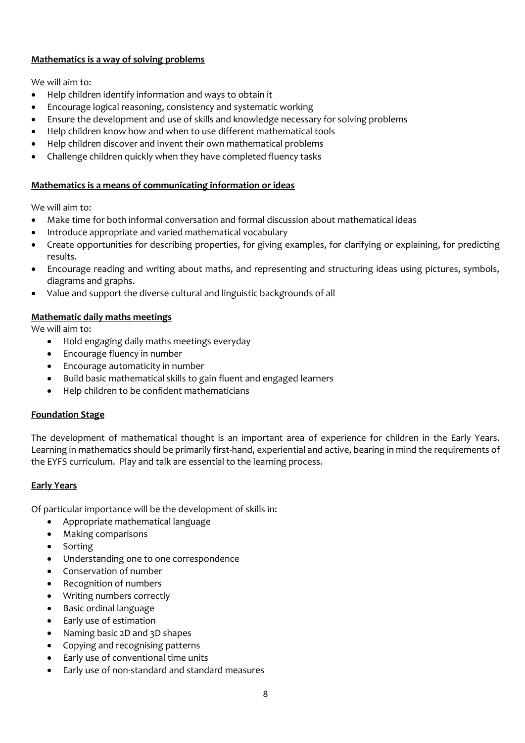## **Mathematics is a way of solving problems**

We will aim to:

- Help children identify information and ways to obtain it
- Encourage logical reasoning, consistency and systematic working
- Ensure the development and use of skills and knowledge necessary for solving problems
- Help children know how and when to use different mathematical tools
- Help children discover and invent their own mathematical problems
- Challenge children quickly when they have completed fluency tasks

## **Mathematics is a means of communicating information or ideas**

We will aim to:

- Make time for both informal conversation and formal discussion about mathematical ideas
- Introduce appropriate and varied mathematical vocabulary
- Create opportunities for describing properties, for giving examples, for clarifying or explaining, for predicting results.
- Encourage reading and writing about maths, and representing and structuring ideas using pictures, symbols, diagrams and graphs.
- Value and support the diverse cultural and linguistic backgrounds of all

## **Mathematic daily maths meetings**

We will aim to:

- Hold engaging daily maths meetings everyday
- Encourage fluency in number
- Encourage automaticity in number
- Build basic mathematical skills to gain fluent and engaged learners
- Help children to be confident mathematicians

## **Foundation Stage**

The development of mathematical thought is an important area of experience for children in the Early Years. Learning in mathematics should be primarily first-hand, experiential and active, bearing in mind the requirements of the EYFS curriculum. Play and talk are essential to the learning process.

## **Early Years**

Of particular importance will be the development of skills in:

- Appropriate mathematical language
- Making comparisons
- Sorting
- Understanding one to one correspondence
- Conservation of number
- Recognition of numbers
- Writing numbers correctly
- Basic ordinal language
- Early use of estimation
- Naming basic 2D and 3D shapes
- Copying and recognising patterns
- Early use of conventional time units
- Early use of non-standard and standard measures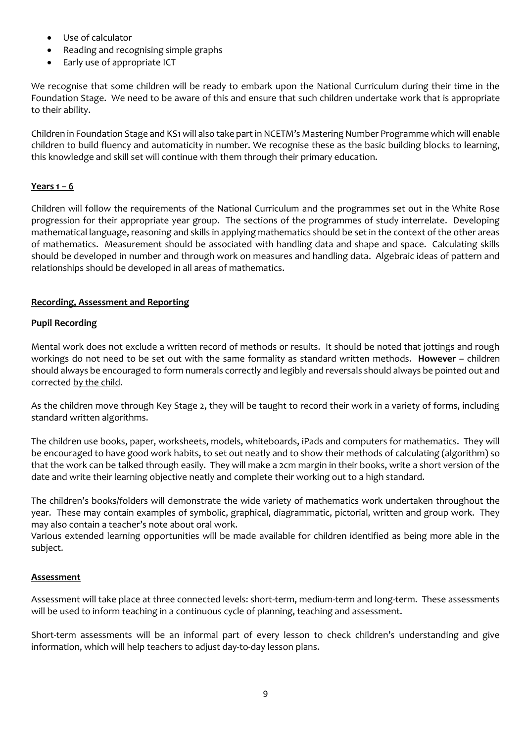- Use of calculator
- Reading and recognising simple graphs
- Early use of appropriate ICT

We recognise that some children will be ready to embark upon the National Curriculum during their time in the Foundation Stage. We need to be aware of this and ensure that such children undertake work that is appropriate to their ability.

Children in Foundation Stage and KS1 will also take part in NCETM's Mastering Number Programme which will enable children to build fluency and automaticity in number. We recognise these as the basic building blocks to learning, this knowledge and skill set will continue with them through their primary education.

## **Years 1 – 6**

Children will follow the requirements of the National Curriculum and the programmes set out in the White Rose progression for their appropriate year group. The sections of the programmes of study interrelate. Developing mathematical language, reasoning and skills in applying mathematics should be set in the context of the other areas of mathematics. Measurement should be associated with handling data and shape and space. Calculating skills should be developed in number and through work on measures and handling data. Algebraic ideas of pattern and relationships should be developed in all areas of mathematics.

## **Recording, Assessment and Reporting**

## **Pupil Recording**

Mental work does not exclude a written record of methods or results. It should be noted that jottings and rough workings do not need to be set out with the same formality as standard written methods. **However** – children should always be encouraged to form numerals correctly and legibly and reversals should always be pointed out and corrected by the child.

As the children move through Key Stage 2, they will be taught to record their work in a variety of forms, including standard written algorithms.

The children use books, paper, worksheets, models, whiteboards, iPads and computers for mathematics. They will be encouraged to have good work habits, to set out neatly and to show their methods of calculating (algorithm) so that the work can be talked through easily. They will make a 2cm margin in their books, write a short version of the date and write their learning objective neatly and complete their working out to a high standard.

The children's books/folders will demonstrate the wide variety of mathematics work undertaken throughout the year. These may contain examples of symbolic, graphical, diagrammatic, pictorial, written and group work. They may also contain a teacher's note about oral work.

Various extended learning opportunities will be made available for children identified as being more able in the subject.

## **Assessment**

Assessment will take place at three connected levels: short-term, medium-term and long-term. These assessments will be used to inform teaching in a continuous cycle of planning, teaching and assessment.

Short-term assessments will be an informal part of every lesson to check children's understanding and give information, which will help teachers to adjust day-to-day lesson plans.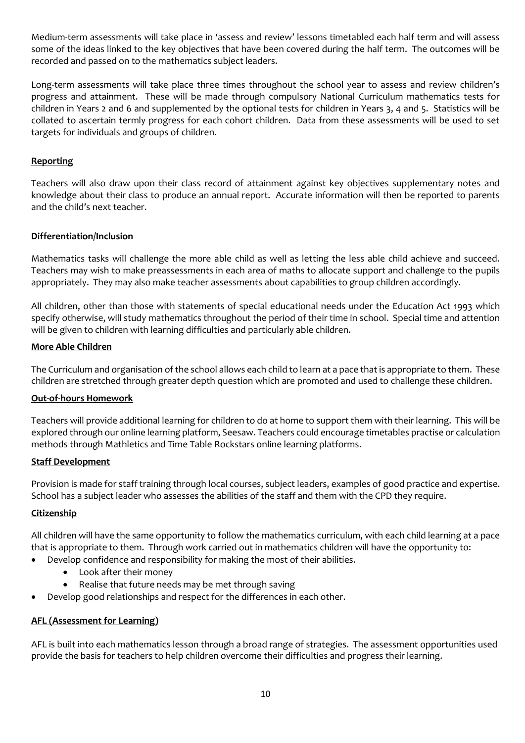Medium-term assessments will take place in 'assess and review' lessons timetabled each half term and will assess some of the ideas linked to the key objectives that have been covered during the half term. The outcomes will be recorded and passed on to the mathematics subject leaders.

Long-term assessments will take place three times throughout the school year to assess and review children's progress and attainment. These will be made through compulsory National Curriculum mathematics tests for children in Years 2 and 6 and supplemented by the optional tests for children in Years 3, 4 and 5. Statistics will be collated to ascertain termly progress for each cohort children. Data from these assessments will be used to set targets for individuals and groups of children.

## **Reporting**

Teachers will also draw upon their class record of attainment against key objectives supplementary notes and knowledge about their class to produce an annual report. Accurate information will then be reported to parents and the child's next teacher.

## **Differentiation/Inclusion**

Mathematics tasks will challenge the more able child as well as letting the less able child achieve and succeed. Teachers may wish to make preassessments in each area of maths to allocate support and challenge to the pupils appropriately. They may also make teacher assessments about capabilities to group children accordingly.

All children, other than those with statements of special educational needs under the Education Act 1993 which specify otherwise, will study mathematics throughout the period of their time in school. Special time and attention will be given to children with learning difficulties and particularly able children.

### **More Able Children**

The Curriculum and organisation of the school allows each child to learn at a pace that is appropriate to them. These children are stretched through greater depth question which are promoted and used to challenge these children.

## **Out-of-hours Homework**

Teachers will provide additional learning for children to do at home to support them with their learning. This will be explored through our online learning platform, Seesaw. Teachers could encourage timetables practise or calculation methods through Mathletics and Time Table Rockstars online learning platforms.

#### **Staff Development**

Provision is made for staff training through local courses, subject leaders, examples of good practice and expertise. School has a subject leader who assesses the abilities of the staff and them with the CPD they require.

#### **Citizenship**

All children will have the same opportunity to follow the mathematics curriculum, with each child learning at a pace that is appropriate to them. Through work carried out in mathematics children will have the opportunity to:

- Develop confidence and responsibility for making the most of their abilities.
	- Look after their money
	- Realise that future needs may be met through saving
- Develop good relationships and respect for the differences in each other.

## **AFL (Assessment for Learning)**

AFL is built into each mathematics lesson through a broad range of strategies. The assessment opportunities used provide the basis for teachers to help children overcome their difficulties and progress their learning.